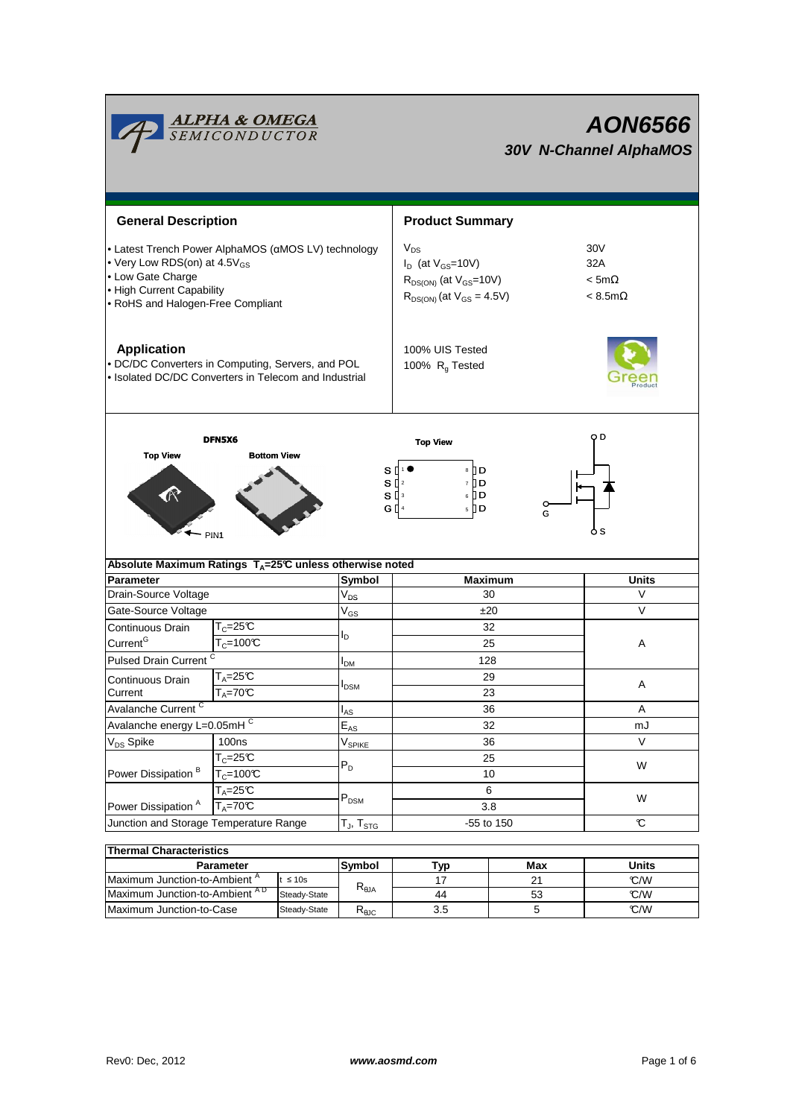

| Thermal Characteristics                  |              |                |     |     |       |  |  |  |  |  |  |
|------------------------------------------|--------------|----------------|-----|-----|-------|--|--|--|--|--|--|
| Parameter                                |              | Symbol         | Typ | Max | Units |  |  |  |  |  |  |
| Maximum Junction-to-Ambient <sup>"</sup> | $\leq 10s$   |                |     | 21  | C/W   |  |  |  |  |  |  |
| Maximum Junction-to-Ambient AD           | Steady-State | $R_{\theta$ JA | 44  | 53  | C/W   |  |  |  |  |  |  |
| Maximum Junction-to-Case                 | Steady-State | 下⊕ЈС           | 3.5 |     | C/W   |  |  |  |  |  |  |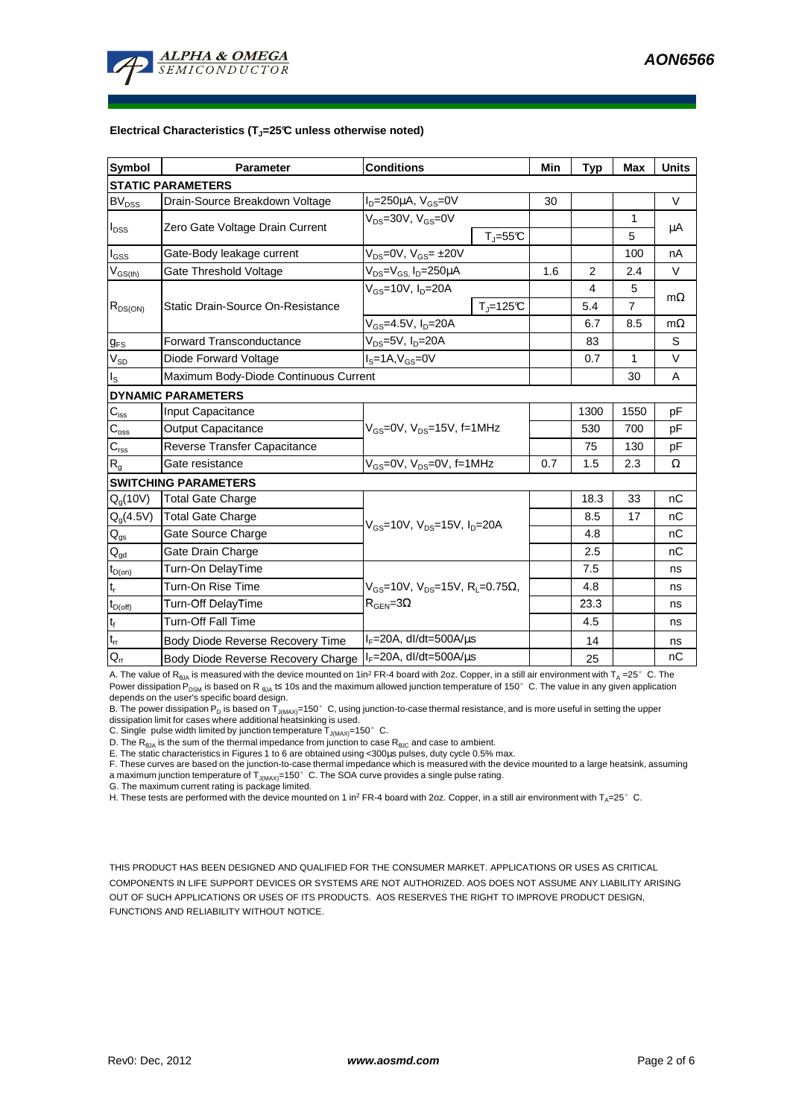

#### **Electrical Characteristics (TJ=25°C unless otherwise noted)**

| <b>Symbol</b>               | <b>Parameter</b>                      | <b>Conditions</b>                                                                                           |               | Min | <b>Typ</b> | <b>Max</b> | <b>Units</b> |  |  |  |  |
|-----------------------------|---------------------------------------|-------------------------------------------------------------------------------------------------------------|---------------|-----|------------|------------|--------------|--|--|--|--|
| <b>STATIC PARAMETERS</b>    |                                       |                                                                                                             |               |     |            |            |              |  |  |  |  |
| <b>BV<sub>DSS</sub></b>     | Drain-Source Breakdown Voltage        | $ID=250\mu A$ , $VGS=0V$                                                                                    |               | 30  |            |            | $\vee$       |  |  |  |  |
| $I_{DSS}$                   | Zero Gate Voltage Drain Current       | $V_{DS}$ =30V, $V_{GS}$ =0V                                                                                 | $T_{J} = 55C$ |     |            | 1<br>5     | μA           |  |  |  |  |
| l <sub>GSS</sub>            | Gate-Body leakage current             | $V_{DS}$ =0V, $V_{GS}$ = $\pm$ 20V                                                                          |               |     |            | 100        | nA           |  |  |  |  |
| $V_{GS(th)}$                | Gate Threshold Voltage                | $V_{DS} = V_{GS}$ , $I_D = 250 \mu A$                                                                       |               | 1.6 | 2          | 2.4        | V            |  |  |  |  |
| $R_{DS(ON)}$                | Static Drain-Source On-Resistance     | $V_{GS}$ =10V, $I_{D}$ =20A                                                                                 |               |     | 4          | 5          |              |  |  |  |  |
|                             |                                       |                                                                                                             | $T_i = 125C$  |     | 5.4        | 7          | $m\Omega$    |  |  |  |  |
|                             |                                       | $V_{GS}$ =4.5V, $I_D$ =20A                                                                                  |               |     | 6.7        | 8.5        | $m\Omega$    |  |  |  |  |
| $g_{FS}$                    | <b>Forward Transconductance</b>       | $V_{DS}$ =5V, I <sub>D</sub> =20A                                                                           |               |     | 83         |            | S            |  |  |  |  |
| V <sub>SD</sub>             | Diode Forward Voltage                 | $Is=1A, VGS=0V$                                                                                             |               |     | 0.7        | 1          | $\vee$       |  |  |  |  |
| ıs.                         | Maximum Body-Diode Continuous Current |                                                                                                             |               |     |            | 30         | A            |  |  |  |  |
|                             | <b>DYNAMIC PARAMETERS</b>             |                                                                                                             |               |     |            |            |              |  |  |  |  |
| $\mathbf{C}_{\mathsf{iss}}$ | Input Capacitance                     | $V_{GS}$ =0V, $V_{DS}$ =15V, f=1MHz                                                                         |               |     | 1300       | 1550       | pF           |  |  |  |  |
| $C_{\rm oss}$               | Output Capacitance                    |                                                                                                             |               |     | 530        | 700        | pF           |  |  |  |  |
| $C_{\text{rss}}$            | Reverse Transfer Capacitance          |                                                                                                             |               |     | 75         | 130        | pF           |  |  |  |  |
| $\mathsf{R}_{\mathsf{g}}$   | Gate resistance                       | $V_{GS}$ =0V, $V_{DS}$ =0V, f=1MHz                                                                          |               | 0.7 | 1.5        | 2.3        | Ω            |  |  |  |  |
|                             | <b>SWITCHING PARAMETERS</b>           |                                                                                                             |               |     |            |            |              |  |  |  |  |
| $Q_g(10V)$                  | Total Gate Charge                     | $V_{GS}$ =10V, $V_{DS}$ =15V, $I_{D}$ =20A                                                                  |               |     | 18.3       | 33         | nC           |  |  |  |  |
| $Q_g(4.5V)$                 | Total Gate Charge                     |                                                                                                             |               |     | 8.5        | 17         | nC           |  |  |  |  |
| $Q_{gs}$                    | Gate Source Charge                    |                                                                                                             |               |     | 4.8        |            | nC           |  |  |  |  |
| $Q_{gd}$                    | Gate Drain Charge                     |                                                                                                             |               |     | 2.5        |            | nC           |  |  |  |  |
| $t_{D(on)}$                 | Turn-On DelayTime                     | $V_{\text{GS}} = 10V$ , $V_{\text{DS}} = 15V$ , $R_{\text{I}} = 0.75\Omega$ ,<br>$R_{\text{GEN}} = 3\Omega$ |               |     | 7.5        |            | ns           |  |  |  |  |
| $t_r$                       | Turn-On Rise Time                     |                                                                                                             |               |     | 4.8        |            | ns           |  |  |  |  |
| $t_{D(off)}$                | Turn-Off DelayTime                    |                                                                                                             |               |     | 23.3       |            | ns           |  |  |  |  |
| $t_f$                       | <b>Turn-Off Fall Time</b>             |                                                                                                             |               |     | 4.5        |            | ns           |  |  |  |  |
| $\mathfrak{t}_{\text{rr}}$  | Body Diode Reverse Recovery Time      | $I_F = 20A$ , dl/dt=500A/ $\mu$ s                                                                           |               |     | 14         |            | ns           |  |  |  |  |
| $Q_{rr}$                    | Body Diode Reverse Recovery Charge    | $I_F = 20A$ , dl/dt=500A/ $\mu$ s                                                                           |               |     | 25         |            | nC           |  |  |  |  |

A. The value of R<sub>BJA</sub> is measured with the device mounted on 1in<sup>2</sup> FR-4 board with 2oz. Copper, in a still air environment with T<sub>A</sub> =25°C. The Power dissipation P<sub>DSM</sub> is based on R <sub>0JA</sub> t≤ 10s and the maximum allowed junction temperature of 150°C. The value in any given application<br>depends on the user's specific board design.

B. The power dissipation P<sub>D</sub> is based on T<sub>J(MAX)</sub>=150°C, using junction-to-case thermal resistance, and is more useful in setting the upper<br>dissipation limit for cases where additional heatsinking is used.

C. Single pulse width limited by junction temperature  $T_{J(MAX)}$ =150°C.

D. The  $R_{\text{AJA}}$  is the sum of the thermal impedance from junction to case  $R_{\text{AJC}}$  and case to ambient.

E. The static characteristics in Figures 1 to 6 are obtained using <300µs pulses, duty cycle 0.5% max.

F. These curves are based on the junction-to-case thermal impedance which is measured with the device mounted to a large heatsink, assuming a maximum junction temperature of  $T_{J(MAX)}$ =150° C. The SOA curve provides a single pulse rating.

G. The maximum current rating is package limited.

H. These tests are performed with the device mounted on 1 in<sup>2</sup> FR-4 board with 2oz. Copper, in a still air environment with T<sub>A</sub>=25°C.

THIS PRODUCT HAS BEEN DESIGNED AND QUALIFIED FOR THE CONSUMER MARKET. APPLICATIONS OR USES AS CRITICAL COMPONENTS IN LIFE SUPPORT DEVICES OR SYSTEMS ARE NOT AUTHORIZED. AOS DOES NOT ASSUME ANY LIABILITY ARISING OUT OF SUCH APPLICATIONS OR USES OF ITS PRODUCTS. AOS RESERVES THE RIGHT TO IMPROVE PRODUCT DESIGN, FUNCTIONS AND RELIABILITY WITHOUT NOTICE.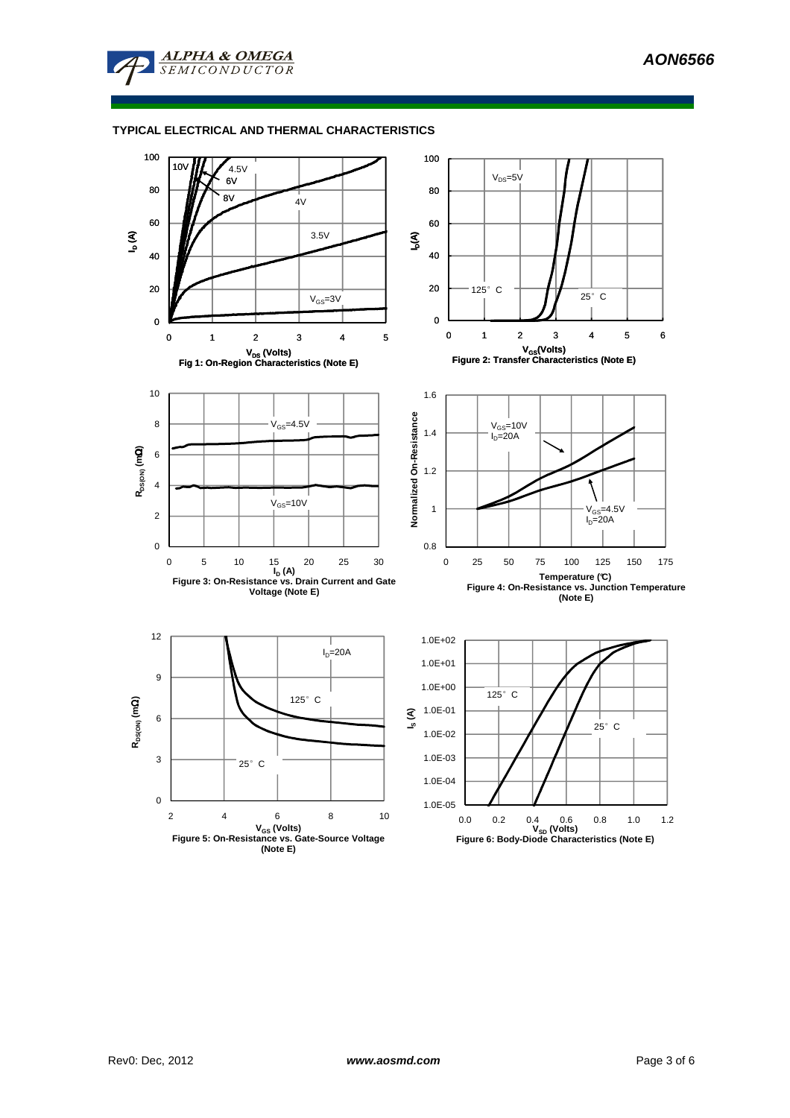

### **TYPICAL ELECTRICAL AND THERMAL CHARACTERISTICS**

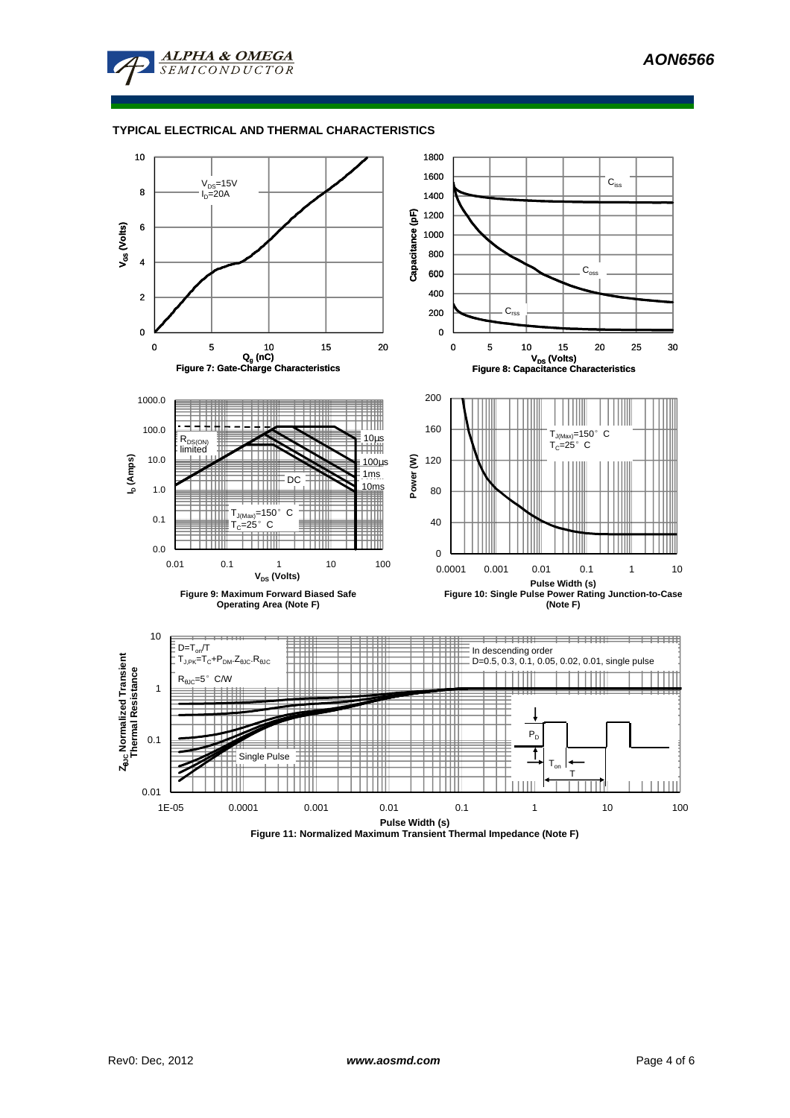



### **TYPICAL ELECTRICAL AND THERMAL CHARACTERISTICS**



**Figure 11: Normalized Maximum Transient Thermal Impedance (Note F)**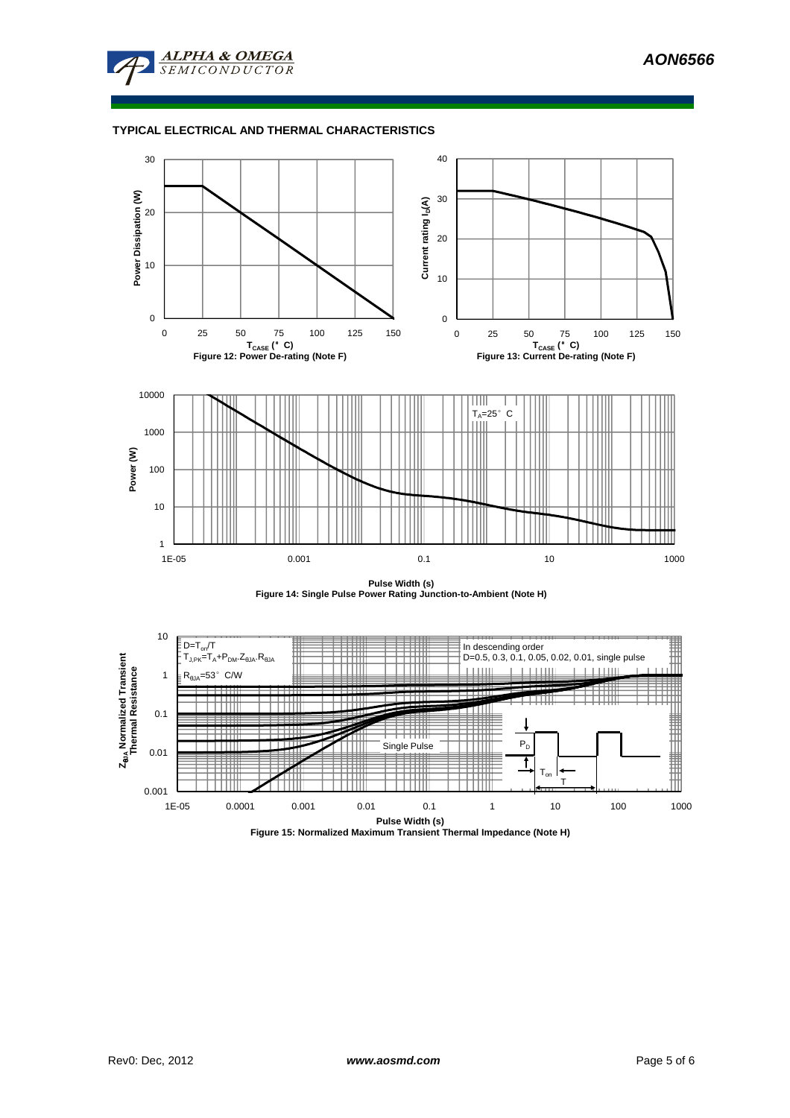

### **TYPICAL ELECTRICAL AND THERMAL CHARACTERISTICS**



**Pulse Width (s) Figure 14: Single Pulse Power Rating Junction-to-Ambient (Note H)**